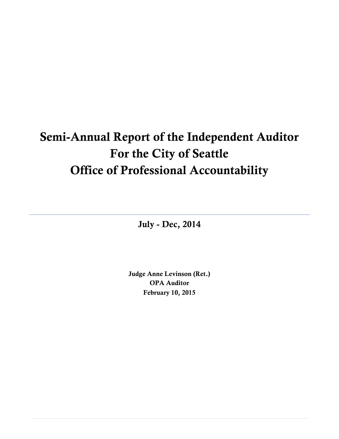# **Semi-Annual Report of the Independent Auditor For the City of Seattle Office of Professional Accountability**

**July - Dec, 2014**

**Judge Anne Levinson (Ret.) OPA Auditor February 10, 2015**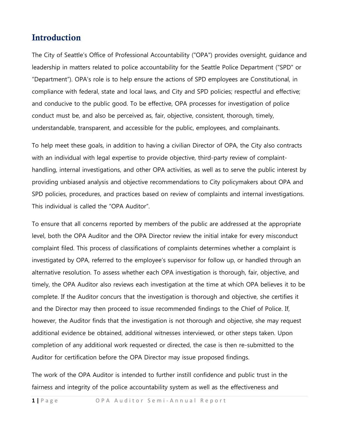## **Introduction**

The City of Seattle's Office of Professional Accountability ("OPA") provides oversight, guidance and leadership in matters related to police accountability for the Seattle Police Department ("SPD" or "Department"). OPA's role is to help ensure the actions of SPD employees are Constitutional, in compliance with federal, state and local laws, and City and SPD policies; respectful and effective; and conducive to the public good. To be effective, OPA processes for investigation of police conduct must be, and also be perceived as, fair, objective, consistent, thorough, timely, understandable, transparent, and accessible for the public, employees, and complainants.

To help meet these goals, in addition to having a civilian Director of OPA, the City also contracts with an individual with legal expertise to provide objective, third-party review of complainthandling, internal investigations, and other OPA activities, as well as to serve the public interest by providing unbiased analysis and objective recommendations to City policymakers about OPA and SPD policies, procedures, and practices based on review of complaints and internal investigations. This individual is called the "OPA Auditor".

To ensure that all concerns reported by members of the public are addressed at the appropriate level, both the OPA Auditor and the OPA Director review the initial intake for every misconduct complaint filed. This process of classifications of complaints determines whether a complaint is investigated by OPA, referred to the employee's supervisor for follow up, or handled through an alternative resolution. To assess whether each OPA investigation is thorough, fair, objective, and timely, the OPA Auditor also reviews each investigation at the time at which OPA believes it to be complete. If the Auditor concurs that the investigation is thorough and objective, she certifies it and the Director may then proceed to issue recommended findings to the Chief of Police. If, however, the Auditor finds that the investigation is not thorough and objective, she may request additional evidence be obtained, additional witnesses interviewed, or other steps taken. Upon completion of any additional work requested or directed, the case is then re-submitted to the Auditor for certification before the OPA Director may issue proposed findings.

The work of the OPA Auditor is intended to further instill confidence and public trust in the fairness and integrity of the police accountability system as well as the effectiveness and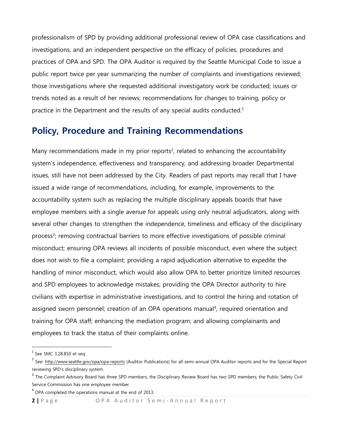professionalism of SPD by providing additional professional review of OPA case classifications and investigations, and an independent perspective on the efficacy of policies, procedures and practices of OPA and SPD. The OPA Auditor is required by the Seattle Municipal Code to issue a public report twice per year summarizing the number of complaints and investigations reviewed; those investigations where she requested additional investigatory work be conducted; issues or trends noted as a result of her reviews; recommendations for changes to training, policy or practice in the Department and the results of any special audits conducted.<sup>1</sup>

## **Policy, Procedure and Training Recommendations**

Many recommendations made in my prior reports<sup>2</sup>, related to enhancing the accountability system's independence, effectiveness and transparency, and addressing broader Departmental issues, still have not been addressed by the City. Readers of past reports may recall that I have issued a wide range of recommendations, including, for example, improvements to the accountability system such as replacing the multiple disciplinary appeals boards that have employee members with a single avenue for appeals using only neutral adjudicators, along with several other changes to strengthen the independence, timeliness and efficacy of the disciplinary process<sup>3</sup>; removing contractual barriers to more effective investigations of possible criminal misconduct; ensuring OPA reviews all incidents of possible misconduct, even where the subject does not wish to file a complaint; providing a rapid adjudication alternative to expedite the handling of minor misconduct, which would also allow OPA to better prioritize limited resources and SPD employees to acknowledge mistakes; providing the OPA Director authority to hire civilians with expertise in administrative investigations, and to control the hiring and rotation of assigned sworn personnel; creation of an OPA operations manual<sup>4</sup>, required orientation and training for OPA staff; enhancing the mediation program; and allowing complainants and employees to track the status of their complaints online.

 $<sup>1</sup>$  See SMC 3.28.850 et seq.</sup>

<sup>&</sup>lt;sup>2</sup> See: <http://www.seattle.gov/opa/opa-reports> (Auditor Publications) for all semi-annual OPA Auditor reports and for the Special Report reviewing SPD's disciplinary system.

<sup>&</sup>lt;sup>3</sup> The Complaint Advisory Board has three SPD members; the Disciplinary Review Board has two SPD members; the Public Safety Civil Service Commission has one employee member.

 $4$  OPA completed the operations manual at the end of 2013.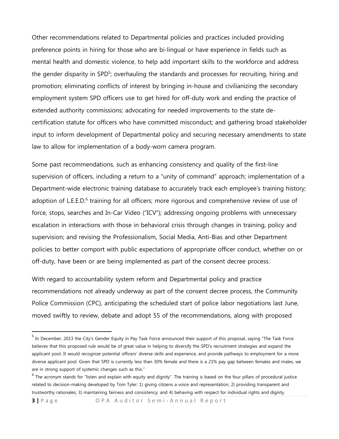Other recommendations related to Departmental policies and practices included providing preference points in hiring for those who are bi-lingual or have experience in fields such as mental health and domestic violence, to help add important skills to the workforce and address the gender disparity in SPD<sup>5</sup>; overhauling the standards and processes for recruiting, hiring and promotion; eliminating conflicts of interest by bringing in-house and civilianizing the secondary employment system SPD officers use to get hired for off-duty work and ending the practice of extended authority commissions; advocating for needed improvements to the state decertification statute for officers who have committed misconduct; and gathering broad stakeholder input to inform development of Departmental policy and securing necessary amendments to state law to allow for implementation of a body-worn camera program.

Some past recommendations, such as enhancing consistency and quality of the first-line supervision of officers, including a return to a "unity of command" approach; implementation of a Department-wide electronic training database to accurately track each employee's training history; adoption of L.E.E.D.<sup>6</sup> training for all officers; more rigorous and comprehensive review of use of force, stops, searches and In-Car Video ("ICV"); addressing ongoing problems with unnecessary escalation in interactions with those in behavioral crisis through changes in training, policy and supervision; and revising the Professionalism, Social Media, Anti-Bias and other Department policies to better comport with public expectations of appropriate officer conduct, whether on or off-duty, have been or are being implemented as part of the consent decree process.

With regard to accountability system reform and Departmental policy and practice recommendations not already underway as part of the consent decree process, the Community Police Commission (CPC), anticipating the scheduled start of police labor negotiations last June, moved swiftly to review, debate and adopt 55 of the recommendations, along with proposed

<sup>&</sup>lt;sup>5</sup> In December, 2013 the City's Gender Equity in Pay Task Force announced their support of this proposal, saying "The Task Force believes that this proposed rule would be of great value in helping to diversify the SPD's recruitment strategies and expand the applicant pool. It would recognize potential officers' diverse skills and experience, and provide pathways to employment for a more diverse applicant pool. Given that SPD is currently less than 30% female and there is a 21% pay gap between females and males, we are in strong support of systemic changes such as this."

<sup>&</sup>lt;sup>6</sup> The acronym stands for "listen and explain with equity and dignity". The training is based on the four pillars of procedural justice related to decision-making developed by Tom Tyler: 1) giving citizens a voice and representation; 2) providing transparent and trustworthy rationales; 3) maintaining fairness and consistency; and 4) behaving with respect for individual rights and dignity.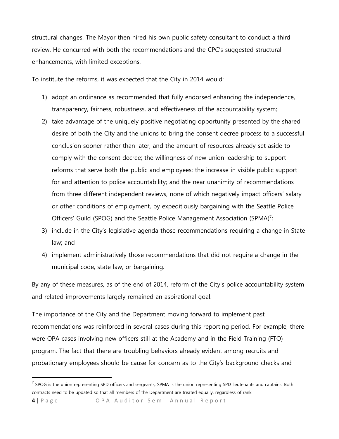structural changes. The Mayor then hired his own public safety consultant to conduct a third review. He concurred with both the recommendations and the CPC's suggested structural enhancements, with limited exceptions.

To institute the reforms, it was expected that the City in 2014 would:

- 1) adopt an ordinance as recommended that fully endorsed enhancing the independence, transparency, fairness, robustness, and effectiveness of the accountability system;
- 2) take advantage of the uniquely positive negotiating opportunity presented by the shared desire of both the City and the unions to bring the consent decree process to a successful conclusion sooner rather than later, and the amount of resources already set aside to comply with the consent decree; the willingness of new union leadership to support reforms that serve both the public and employees; the increase in visible public support for and attention to police accountability; and the near unanimity of recommendations from three different independent reviews, none of which negatively impact officers' salary or other conditions of employment, by expeditiously bargaining with the Seattle Police Officers' Guild (SPOG) and the Seattle Police Management Association (SPMA)<sup>7</sup>;
- 3) include in the City's legislative agenda those recommendations requiring a change in State law; and
- 4) implement administratively those recommendations that did not require a change in the municipal code, state law, or bargaining.

By any of these measures, as of the end of 2014, reform of the City's police accountability system and related improvements largely remained an aspirational goal.

The importance of the City and the Department moving forward to implement past recommendations was reinforced in several cases during this reporting period. For example, there were OPA cases involving new officers still at the Academy and in the Field Training (FTO) program. The fact that there are troubling behaviors already evident among recruits and probationary employees should be cause for concern as to the City's background checks and

<sup>&</sup>lt;sup>7</sup> SPOG is the union representing SPD officers and sergeants; SPMA is the union representing SPD lieutenants and captains. Both contracts need to be updated so that all members of the Department are treated equally, regardless of rank.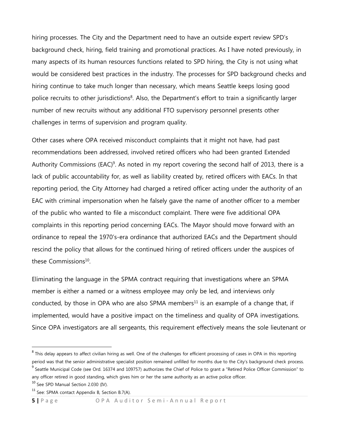hiring processes. The City and the Department need to have an outside expert review SPD's background check, hiring, field training and promotional practices. As I have noted previously, in many aspects of its human resources functions related to SPD hiring, the City is not using what would be considered best practices in the industry. The processes for SPD background checks and hiring continue to take much longer than necessary, which means Seattle keeps losing good police recruits to other jurisdictions<sup>8</sup>. Also, the Department's effort to train a significantly larger number of new recruits without any additional FTO supervisory personnel presents other challenges in terms of supervision and program quality.

Other cases where OPA received misconduct complaints that it might not have, had past recommendations been addressed, involved retired officers who had been granted Extended Authority Commissions (EAC)<sup>9</sup>. As noted in my report covering the second half of 2013, there is a lack of public accountability for, as well as liability created by, retired officers with EACs. In that reporting period, the City Attorney had charged a retired officer acting under the authority of an EAC with criminal impersonation when he falsely gave the name of another officer to a member of the public who wanted to file a misconduct complaint. There were five additional OPA complaints in this reporting period concerning EACs. The Mayor should move forward with an ordinance to repeal the 1970's-era ordinance that authorized EACs and the Department should rescind the policy that allows for the continued hiring of retired officers under the auspices of these Commissions<sup>10</sup>.

Eliminating the language in the SPMA contract requiring that investigations where an SPMA member is either a named or a witness employee may only be led, and interviews only conducted, by those in OPA who are also SPMA members<sup>11</sup> is an example of a change that, if implemented, would have a positive impact on the timeliness and quality of OPA investigations. Since OPA investigators are all sergeants, this requirement effectively means the sole lieutenant or

 $^8$  This delay appears to affect civilian hiring as well. One of the challenges for efficient processing of cases in OPA in this reporting period was that the senior administrative specialist position remained unfilled for months due to the City's background check process. <sup>9</sup> Seattle Municipal Code (see Ord. 16374 and 109757) authorizes the Chief of Police to grant a "Retired Police Officer Commission" to

any officer retired in good standing, which gives him or her the same authority as an active police officer.

<sup>&</sup>lt;sup>10</sup> See SPD Manual Section 2.030 (IV).

<sup>&</sup>lt;sup>11</sup> See: SPMA contact Appendix B, Section B.7(A).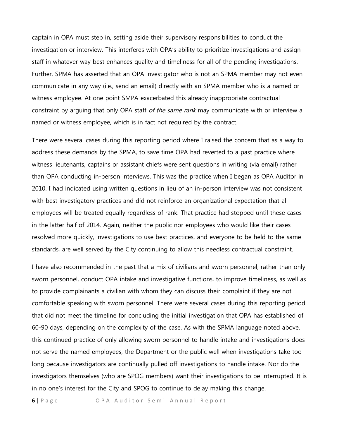captain in OPA must step in, setting aside their supervisory responsibilities to conduct the investigation or interview. This interferes with OPA's ability to prioritize investigations and assign staff in whatever way best enhances quality and timeliness for all of the pending investigations. Further, SPMA has asserted that an OPA investigator who is not an SPMA member may not even communicate in any way (i.e., send an email) directly with an SPMA member who is a named or witness employee. At one point SMPA exacerbated this already inappropriate contractual constraint by arguing that only OPA staff of the same rank may communicate with or interview a named or witness employee, which is in fact not required by the contract.

There were several cases during this reporting period where I raised the concern that as a way to address these demands by the SPMA, to save time OPA had reverted to a past practice where witness lieutenants, captains or assistant chiefs were sent questions in writing (via email) rather than OPA conducting in-person interviews. This was the practice when I began as OPA Auditor in 2010. I had indicated using written questions in lieu of an in-person interview was not consistent with best investigatory practices and did not reinforce an organizational expectation that all employees will be treated equally regardless of rank. That practice had stopped until these cases in the latter half of 2014. Again, neither the public nor employees who would like their cases resolved more quickly, investigations to use best practices, and everyone to be held to the same standards, are well served by the City continuing to allow this needless contractual constraint.

I have also recommended in the past that a mix of civilians and sworn personnel, rather than only sworn personnel, conduct OPA intake and investigative functions, to improve timeliness, as well as to provide complainants a civilian with whom they can discuss their complaint if they are not comfortable speaking with sworn personnel. There were several cases during this reporting period that did not meet the timeline for concluding the initial investigation that OPA has established of 60-90 days, depending on the complexity of the case. As with the SPMA language noted above, this continued practice of only allowing sworn personnel to handle intake and investigations does not serve the named employees, the Department or the public well when investigations take too long because investigators are continually pulled off investigations to handle intake. Nor do the investigators themselves (who are SPOG members) want their investigations to be interrupted. It is in no one's interest for the City and SPOG to continue to delay making this change.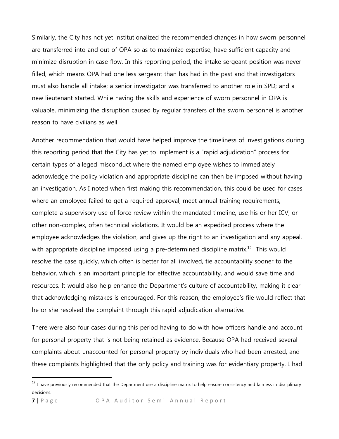Similarly, the City has not yet institutionalized the recommended changes in how sworn personnel are transferred into and out of OPA so as to maximize expertise, have sufficient capacity and minimize disruption in case flow. In this reporting period, the intake sergeant position was never filled, which means OPA had one less sergeant than has had in the past and that investigators must also handle all intake; a senior investigator was transferred to another role in SPD; and a new lieutenant started. While having the skills and experience of sworn personnel in OPA is valuable, minimizing the disruption caused by regular transfers of the sworn personnel is another reason to have civilians as well.

Another recommendation that would have helped improve the timeliness of investigations during this reporting period that the City has yet to implement is a "rapid adjudication" process for certain types of alleged misconduct where the named employee wishes to immediately acknowledge the policy violation and appropriate discipline can then be imposed without having an investigation. As I noted when first making this recommendation, this could be used for cases where an employee failed to get a required approval, meet annual training requirements, complete a supervisory use of force review within the mandated timeline, use his or her ICV, or other non-complex, often technical violations. It would be an expedited process where the employee acknowledges the violation, and gives up the right to an investigation and any appeal, with appropriate discipline imposed using a pre-determined discipline matrix.<sup>12</sup> This would resolve the case quickly, which often is better for all involved, tie accountability sooner to the behavior, which is an important principle for effective accountability, and would save time and resources. It would also help enhance the Department's culture of accountability, making it clear that acknowledging mistakes is encouraged. For this reason, the employee's file would reflect that he or she resolved the complaint through this rapid adjudication alternative.

There were also four cases during this period having to do with how officers handle and account for personal property that is not being retained as evidence. Because OPA had received several complaints about unaccounted for personal property by individuals who had been arrested, and these complaints highlighted that the only policy and training was for evidentiary property, I had

 $12$  I have previously recommended that the Department use a discipline matrix to help ensure consistency and fairness in disciplinary decisions.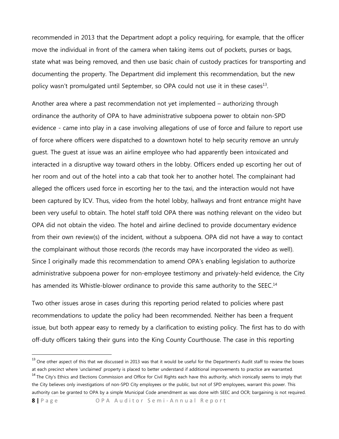recommended in 2013 that the Department adopt a policy requiring, for example, that the officer move the individual in front of the camera when taking items out of pockets, purses or bags, state what was being removed, and then use basic chain of custody practices for transporting and documenting the property. The Department did implement this recommendation, but the new policy wasn't promulgated until September, so OPA could not use it in these cases<sup>13</sup>.

Another area where a past recommendation not yet implemented – authorizing through ordinance the authority of OPA to have administrative subpoena power to obtain non-SPD evidence - came into play in a case involving allegations of use of force and failure to report use of force where officers were dispatched to a downtown hotel to help security remove an unruly guest. The guest at issue was an airline employee who had apparently been intoxicated and interacted in a disruptive way toward others in the lobby. Officers ended up escorting her out of her room and out of the hotel into a cab that took her to another hotel. The complainant had alleged the officers used force in escorting her to the taxi, and the interaction would not have been captured by ICV. Thus, video from the hotel lobby, hallways and front entrance might have been very useful to obtain. The hotel staff told OPA there was nothing relevant on the video but OPA did not obtain the video. The hotel and airline declined to provide documentary evidence from their own review(s) of the incident, without a subpoena. OPA did not have a way to contact the complainant without those records (the records may have incorporated the video as well). Since I originally made this recommendation to amend OPA's enabling legislation to authorize administrative subpoena power for non-employee testimony and privately-held evidence, the City has amended its Whistle-blower ordinance to provide this same authority to the SEEC.<sup>14</sup>

Two other issues arose in cases during this reporting period related to policies where past recommendations to update the policy had been recommended. Neither has been a frequent issue, but both appear easy to remedy by a clarification to existing policy. The first has to do with off-duty officers taking their guns into the King County Courthouse. The case in this reporting

<sup>14</sup> The City's Ethics and Elections Commission and Office for Civil Rights each have this authority, which ironically seems to imply that the City believes only investigations of non-SPD City employees or the public, but not of SPD employees, warrant this power. This authority can be granted to OPA by a simple Municipal Code amendment as was done with SEEC and OCR; bargaining is not required.

<sup>&</sup>lt;sup>13</sup> One other aspect of this that we discussed in 2013 was that it would be useful for the Department's Audit staff to review the boxes at each precinct where 'unclaimed' property is placed to better understand if additional improvements to practice are warranted.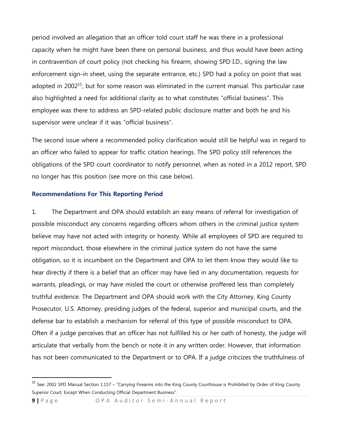period involved an allegation that an officer told court staff he was there in a professional capacity when he might have been there on personal business, and thus would have been acting in contravention of court policy (not checking his firearm, showing SPD I.D., signing the law enforcement sign-in sheet, using the separate entrance, etc.) SPD had a policy on point that was adopted in 2002<sup>15</sup>, but for some reason was eliminated in the current manual. This particular case also highlighted a need for additional clarity as to what constitutes "official business". This employee was there to address an SPD-related public disclosure matter and both he and his supervisor were unclear if it was "official business".

The second issue where a recommended policy clarification would still be helpful was in regard to an officer who failed to appear for traffic citation hearings. The SPD policy still references the obligations of the SPD court coordinator to notify personnel, when as noted in a 2012 report, SPD no longer has this position (see more on this case below).

#### **Recommendations For This Reporting Period**

1. The Department and OPA should establish an easy means of referral for investigation of possible misconduct any concerns regarding officers whom others in the criminal justice system believe may have not acted with integrity or honesty. While all employees of SPD are required to report misconduct, those elsewhere in the criminal justice system do not have the same obligation, so it is incumbent on the Department and OPA to let them know they would like to hear directly if there is a belief that an officer may have lied in any documentation, requests for warrants, pleadings, or may have misled the court or otherwise proffered less than completely truthful evidence. The Department and OPA should work with the City Attorney, King County Prosecutor, U.S. Attorney, presiding judges of the federal, superior and municipal courts, and the defense bar to establish a mechanism for referral of this type of possible misconduct to OPA. Often if a judge perceives that an officer has not fulfilled his or her oath of honesty, the judge will articulate that verbally from the bench or note it in any written order. However, that information has not been communicated to the Department or to OPA. If a judge criticizes the truthfulness of

<sup>&</sup>lt;sup>15</sup> See: 2002 SPD Manual Section 1.157 – "Carrying Firearms into the King County Courthouse is Prohibited by Order of King County Superior Court, Except When Conducting Official Department Business".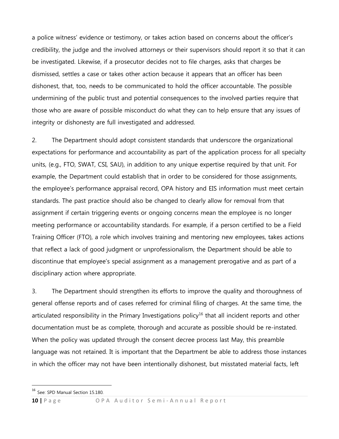a police witness' evidence or testimony, or takes action based on concerns about the officer's credibility, the judge and the involved attorneys or their supervisors should report it so that it can be investigated. Likewise, if a prosecutor decides not to file charges, asks that charges be dismissed, settles a case or takes other action because it appears that an officer has been dishonest, that, too, needs to be communicated to hold the officer accountable. The possible undermining of the public trust and potential consequences to the involved parties require that those who are aware of possible misconduct do what they can to help ensure that any issues of integrity or dishonesty are full investigated and addressed.

2. The Department should adopt consistent standards that underscore the organizational expectations for performance and accountability as part of the application process for all specialty units, (e.g., FTO, SWAT, CSI, SAU), in addition to any unique expertise required by that unit. For example, the Department could establish that in order to be considered for those assignments, the employee's performance appraisal record, OPA history and EIS information must meet certain standards. The past practice should also be changed to clearly allow for removal from that assignment if certain triggering events or ongoing concerns mean the employee is no longer meeting performance or accountability standards. For example, if a person certified to be a Field Training Officer (FTO), a role which involves training and mentoring new employees, takes actions that reflect a lack of good judgment or unprofessionalism, the Department should be able to discontinue that employee's special assignment as a management prerogative and as part of a disciplinary action where appropriate.

3. The Department should strengthen its efforts to improve the quality and thoroughness of general offense reports and of cases referred for criminal filing of charges. At the same time, the articulated responsibility in the Primary Investigations policy<sup>16</sup> that all incident reports and other documentation must be as complete, thorough and accurate as possible should be re-instated. When the policy was updated through the consent decree process last May, this preamble language was not retained. It is important that the Department be able to address those instances in which the officer may not have been intentionally dishonest, but misstated material facts, left

<sup>&</sup>lt;sup>16</sup> See: SPD Manual Section 15.180.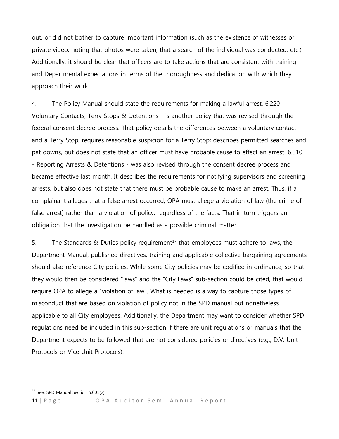out, or did not bother to capture important information (such as the existence of witnesses or private video, noting that photos were taken, that a search of the individual was conducted, etc.) Additionally, it should be clear that officers are to take actions that are consistent with training and Departmental expectations in terms of the thoroughness and dedication with which they approach their work.

4. The Policy Manual should state the requirements for making a lawful arrest. 6.220 - Voluntary Contacts, Terry Stops & Detentions - is another policy that was revised through the federal consent decree process. That policy details the differences between a voluntary contact and a Terry Stop; requires reasonable suspicion for a Terry Stop; describes permitted searches and pat downs, but does not state that an officer must have probable cause to effect an arrest. 6.010 - Reporting Arrests & Detentions - was also revised through the consent decree process and became effective last month. It describes the requirements for notifying supervisors and screening arrests, but also does not state that there must be probable cause to make an arrest. Thus, if a complainant alleges that a false arrest occurred, OPA must allege a violation of law (the crime of false arrest) rather than a violation of policy, regardless of the facts. That in turn triggers an obligation that the investigation be handled as a possible criminal matter.

5. The Standards & Duties policy requirement<sup>17</sup> that employees must adhere to laws, the Department Manual, published directives, training and applicable collective bargaining agreements should also reference City policies. While some City policies may be codified in ordinance, so that they would then be considered "laws" and the "City Laws" sub-section could be cited, that would require OPA to allege a "violation of law". What is needed is a way to capture those types of misconduct that are based on violation of policy not in the SPD manual but nonetheless applicable to all City employees. Additionally, the Department may want to consider whether SPD regulations need be included in this sub-section if there are unit regulations or manuals that the Department expects to be followed that are not considered policies or directives (e.g., D.V. Unit Protocols or Vice Unit Protocols).

<sup>&</sup>lt;sup>17</sup> See: SPD Manual Section 5.001(2).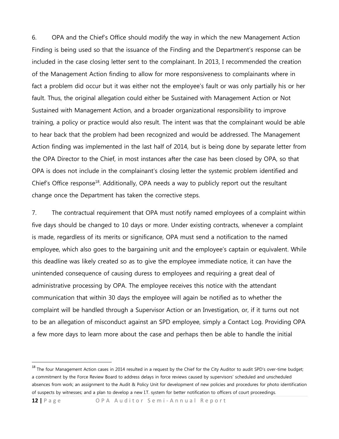6. OPA and the Chief's Office should modify the way in which the new Management Action Finding is being used so that the issuance of the Finding and the Department's response can be included in the case closing letter sent to the complainant. In 2013, I recommended the creation of the Management Action finding to allow for more responsiveness to complainants where in fact a problem did occur but it was either not the employee's fault or was only partially his or her fault. Thus, the original allegation could either be Sustained with Management Action or Not Sustained with Management Action, and a broader organizational responsibility to improve training, a policy or practice would also result. The intent was that the complainant would be able to hear back that the problem had been recognized and would be addressed. The Management Action finding was implemented in the last half of 2014, but is being done by separate letter from the OPA Director to the Chief, in most instances after the case has been closed by OPA, so that OPA is does not include in the complainant's closing letter the systemic problem identified and Chief's Office response<sup>18</sup>. Additionally, OPA needs a way to publicly report out the resultant change once the Department has taken the corrective steps.

7. The contractual requirement that OPA must notify named employees of a complaint within five days should be changed to 10 days or more. Under existing contracts, whenever a complaint is made, regardless of its merits or significance, OPA must send a notification to the named employee, which also goes to the bargaining unit and the employee's captain or equivalent. While this deadline was likely created so as to give the employee immediate notice, it can have the unintended consequence of causing duress to employees and requiring a great deal of administrative processing by OPA. The employee receives this notice with the attendant communication that within 30 days the employee will again be notified as to whether the complaint will be handled through a Supervisor Action or an Investigation, or, if it turns out not to be an allegation of misconduct against an SPD employee, simply a Contact Log. Providing OPA a few more days to learn more about the case and perhaps then be able to handle the initial

<sup>&</sup>lt;sup>18</sup> The four Management Action cases in 2014 resulted in a request by the Chief for the City Auditor to audit SPD's over-time budget; a commitment by the Force Review Board to address delays in force reviews caused by supervisors' scheduled and unscheduled absences from work; an assignment to the Audit & Policy Unit for development of new policies and procedures for photo identification of suspects by witnesses; and a plan to develop a new I.T. system for better notification to officers of court proceedings.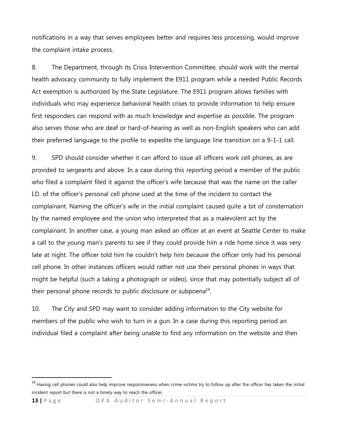notifications in a way that serves employees better and requires less processing, would improve the complaint intake process.

8. The Department, through its Crisis Intervention Committee, should work with the mental health advocacy community to fully implement the E911 program while a needed Public Records Act exemption is authorized by the State Legislature. The E911 program allows families with individuals who may experience behavioral health crises to provide information to help ensure first responders can respond with as much knowledge and expertise as possible. The program also serves those who are deaf or hard-of-hearing as well as non-English speakers who can add their preferred language to the profile to expedite the language line transition on a 9-1-1 call.

9. SPD should consider whether it can afford to issue all officers work cell phones, as are provided to sergeants and above. In a case during this reporting period a member of the public who filed a complaint filed it against the officer's wife because that was the name on the caller I.D. of the officer's personal cell phone used at the time of the incident to contact the complainant. Naming the officer's wife in the initial complaint caused quite a bit of consternation by the named employee and the union who interpreted that as a malevolent act by the complainant. In another case, a young man asked an officer at an event at Seattle Center to make a call to the young man's parents to see if they could provide him a ride home since it was very late at night. The officer told him he couldn't help him because the officer only had his personal cell phone. In other instances officers would rather not use their personal phones in ways that might be helpful (such a taking a photograph or video), since that may potentially subject all of their personal phone records to public disclosure or subpoena<sup>19</sup>.

10. The City and SPD may want to consider adding information to the City website for members of the public who wish to turn in a gun. In a case during this reporting period an individual filed a complaint after being unable to find any information on the website and then

<sup>&</sup>lt;sup>19</sup> Having cell phones could also help improve responsiveness when crime victims try to follow up after the officer has taken the initial incident report but there is not a timely way to reach the officer.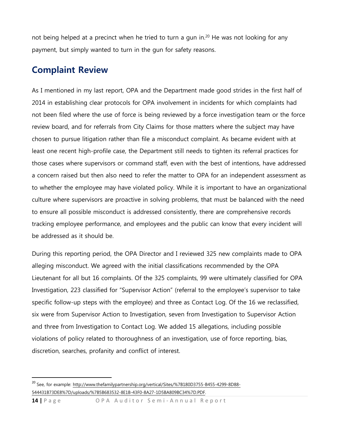not being helped at a precinct when he tried to turn a gun in.<sup>20</sup> He was not looking for any payment, but simply wanted to turn in the gun for safety reasons.

# **Complaint Review**

 $\ddot{\phantom{a}}$ 

As I mentioned in my last report, OPA and the Department made good strides in the first half of 2014 in establishing clear protocols for OPA involvement in incidents for which complaints had not been filed where the use of force is being reviewed by a force investigation team or the force review board, and for referrals from City Claims for those matters where the subject may have chosen to pursue litigation rather than file a misconduct complaint. As became evident with at least one recent high-profile case, the Department still needs to tighten its referral practices for those cases where supervisors or command staff, even with the best of intentions, have addressed a concern raised but then also need to refer the matter to OPA for an independent assessment as to whether the employee may have violated policy. While it is important to have an organizational culture where supervisors are proactive in solving problems, that must be balanced with the need to ensure all possible misconduct is addressed consistently, there are comprehensive records tracking employee performance, and employees and the public can know that every incident will be addressed as it should be.

During this reporting period, the OPA Director and I reviewed 325 new complaints made to OPA alleging misconduct. We agreed with the initial classifications recommended by the OPA Lieutenant for all but 16 complaints. Of the 325 complaints, 99 were ultimately classified for OPA Investigation, 223 classified for "Supervisor Action" (referral to the employee's supervisor to take specific follow-up steps with the employee) and three as Contact Log. Of the 16 we reclassified, six were from Supervisor Action to Investigation, seven from Investigation to Supervisor Action and three from Investigation to Contact Log. We added 15 allegations, including possible violations of policy related to thoroughness of an investigation, use of force reporting, bias, discretion, searches, profanity and conflict of interest.

<sup>&</sup>lt;sup>20</sup> See, for example: [http://www.thefamilypartnership.org/vertical/Sites/%7B180D3755-B455-4299-8D88-](http://www.thefamilypartnership.org/vertical/Sites/%7B180D3755-B455-4299-8D88-544431B73DE8%7D/uploads/%7B5B683532-8E1B-43F0-8A27-1D5BA809BC34%7D.PDF) [544431B73DE8%7D/uploads/%7B5B683532-8E1B-43F0-8A27-1D5BA809BC34%7D.PDF.](http://www.thefamilypartnership.org/vertical/Sites/%7B180D3755-B455-4299-8D88-544431B73DE8%7D/uploads/%7B5B683532-8E1B-43F0-8A27-1D5BA809BC34%7D.PDF)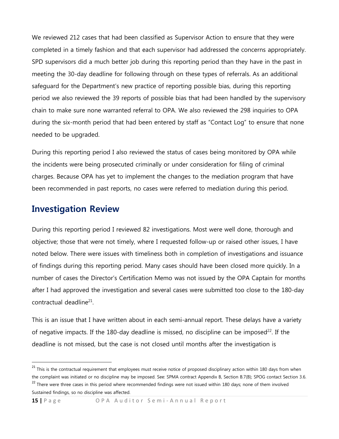We reviewed 212 cases that had been classified as Supervisor Action to ensure that they were completed in a timely fashion and that each supervisor had addressed the concerns appropriately. SPD supervisors did a much better job during this reporting period than they have in the past in meeting the 30-day deadline for following through on these types of referrals. As an additional safeguard for the Department's new practice of reporting possible bias, during this reporting period we also reviewed the 39 reports of possible bias that had been handled by the supervisory chain to make sure none warranted referral to OPA. We also reviewed the 298 inquiries to OPA during the six-month period that had been entered by staff as "Contact Log" to ensure that none needed to be upgraded.

During this reporting period I also reviewed the status of cases being monitored by OPA while the incidents were being prosecuted criminally or under consideration for filing of criminal charges. Because OPA has yet to implement the changes to the mediation program that have been recommended in past reports, no cases were referred to mediation during this period.

### **Investigation Review**

During this reporting period I reviewed 82 investigations. Most were well done, thorough and objective; those that were not timely, where I requested follow-up or raised other issues, I have noted below. There were issues with timeliness both in completion of investigations and issuance of findings during this reporting period. Many cases should have been closed more quickly. In a number of cases the Director's Certification Memo was not issued by the OPA Captain for months after I had approved the investigation and several cases were submitted too close to the 180-day contractual deadline<sup>21</sup>.

This is an issue that I have written about in each semi-annual report. These delays have a variety of negative impacts. If the 180-day deadline is missed, no discipline can be imposed<sup>22</sup>. If the deadline is not missed, but the case is not closed until months after the investigation is

<sup>&</sup>lt;sup>21</sup> This is the contractual requirement that employees must receive notice of proposed disciplinary action within 180 days from when the complaint was initiated or no discipline may be imposed. See: SPMA contract Appendix B, Section B.7(B); SPOG contact Section 3.6. <sup>22</sup> There were three cases in this period where recommended findings were not issued within 180 days; none of them involved

Sustained findings, so no discipline was affected.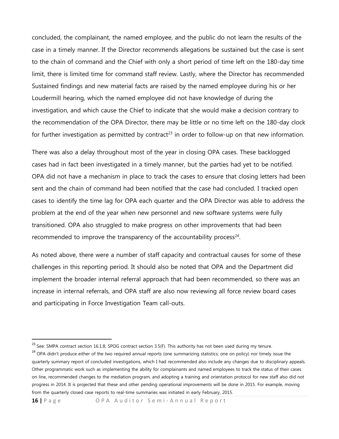concluded, the complainant, the named employee, and the public do not learn the results of the case in a timely manner. If the Director recommends allegations be sustained but the case is sent to the chain of command and the Chief with only a short period of time left on the 180-day time limit, there is limited time for command staff review. Lastly, where the Director has recommended Sustained findings and new material facts are raised by the named employee during his or her Loudermill hearing, which the named employee did not have knowledge of during the investigation, and which cause the Chief to indicate that she would make a decision contrary to the recommendation of the OPA Director, there may be little or no time left on the 180-day clock for further investigation as permitted by contract<sup>23</sup> in order to follow-up on that new information.

There was also a delay throughout most of the year in closing OPA cases. These backlogged cases had in fact been investigated in a timely manner, but the parties had yet to be notified. OPA did not have a mechanism in place to track the cases to ensure that closing letters had been sent and the chain of command had been notified that the case had concluded. I tracked open cases to identify the time lag for OPA each quarter and the OPA Director was able to address the problem at the end of the year when new personnel and new software systems were fully transitioned. OPA also struggled to make progress on other improvements that had been recommended to improve the transparency of the accountability process $24$ .

As noted above, there were a number of staff capacity and contractual causes for some of these challenges in this reporting period. It should also be noted that OPA and the Department did implement the broader internal referral approach that had been recommended, so there was an increase in internal referrals, and OPA staff are also now reviewing all force review board cases and participating in Force Investigation Team call-outs.

<sup>24</sup> OPA didn't produce either of the two required annual reports (one summarizing statistics; one on policy) nor timely issue the quarterly summary report of concluded investigations, which I had recommended also include any changes due to disciplinary appeals. Other programmatic work such as implementing the ability for complainants and named employees to track the status of their cases on line, recommended changes to the mediation program, and adopting a training and orientation protocol for new staff also did not progress in 2014. It is projected that these and other pending operational improvements will be done in 2015. For example, moving from the quarterly closed case reports to real-time summaries was initiated in early February, 2015.

**16** | Page OPA Auditor Semi-Annual Report

 $^{23}$  See: SMPA contract section 16.1.8; SPOG contract section 3.5(F). This authority has not been used during my tenure.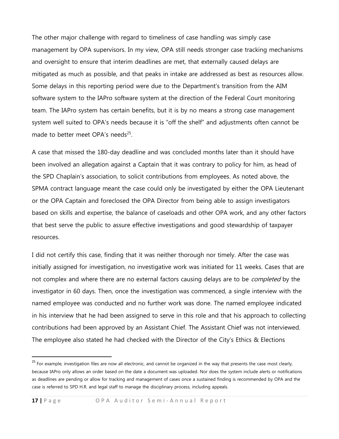The other major challenge with regard to timeliness of case handling was simply case management by OPA supervisors. In my view, OPA still needs stronger case tracking mechanisms and oversight to ensure that interim deadlines are met, that externally caused delays are mitigated as much as possible, and that peaks in intake are addressed as best as resources allow. Some delays in this reporting period were due to the Department's transition from the AIM software system to the IAPro software system at the direction of the Federal Court monitoring team. The IAPro system has certain benefits, but it is by no means a strong case management system well suited to OPA's needs because it is "off the shelf" and adjustments often cannot be made to better meet OPA's needs<sup>25</sup>.

A case that missed the 180-day deadline and was concluded months later than it should have been involved an allegation against a Captain that it was contrary to policy for him, as head of the SPD Chaplain's association, to solicit contributions from employees. As noted above, the SPMA contract language meant the case could only be investigated by either the OPA Lieutenant or the OPA Captain and foreclosed the OPA Director from being able to assign investigators based on skills and expertise, the balance of caseloads and other OPA work, and any other factors that best serve the public to assure effective investigations and good stewardship of taxpayer resources.

I did not certify this case, finding that it was neither thorough nor timely. After the case was initially assigned for investigation, no investigative work was initiated for 11 weeks. Cases that are not complex and where there are no external factors causing delays are to be *completed* by the investigator in 60 days. Then, once the investigation was commenced, a single interview with the named employee was conducted and no further work was done. The named employee indicated in his interview that he had been assigned to serve in this role and that his approach to collecting contributions had been approved by an Assistant Chief. The Assistant Chief was not interviewed. The employee also stated he had checked with the Director of the City's Ethics & Elections

<sup>&</sup>lt;sup>25</sup> For example, investigation files are now all electronic, and cannot be organized in the way that presents the case most clearly, because IAPro only allows an order based on the date a document was uploaded. Nor does the system include alerts or notifications as deadlines are pending or allow for tracking and management of cases once a sustained finding is recommended by OPA and the case is referred to SPD H.R. and legal staff to manage the disciplinary process, including appeals.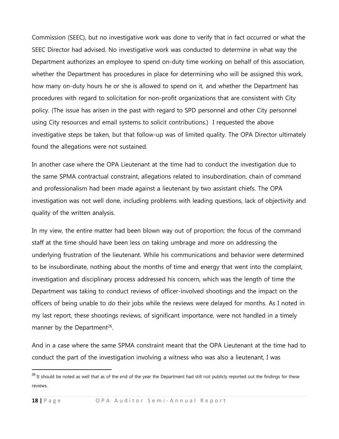Commission (SEEC), but no investigative work was done to verify that in fact occurred or what the SEEC Director had advised. No investigative work was conducted to determine in what way the Department authorizes an employee to spend on-duty time working on behalf of this association, whether the Department has procedures in place for determining who will be assigned this work, how many on-duty hours he or she is allowed to spend on it, and whether the Department has procedures with regard to solicitation for non-profit organizations that are consistent with City policy. (The issue has arisen in the past with regard to SPD personnel and other City personnel using City resources and email systems to solicit contributions.) I requested the above investigative steps be taken, but that follow-up was of limited quality. The OPA Director ultimately found the allegations were not sustained.

In another case where the OPA Lieutenant at the time had to conduct the investigation due to the same SPMA contractual constraint, allegations related to insubordination, chain of command and professionalism had been made against a lieutenant by two assistant chiefs. The OPA investigation was not well done, including problems with leading questions, lack of objectivity and quality of the written analysis.

In my view, the entire matter had been blown way out of proportion; the focus of the command staff at the time should have been less on taking umbrage and more on addressing the underlying frustration of the lieutenant. While his communications and behavior were determined to be insubordinate, nothing about the months of time and energy that went into the complaint, investigation and disciplinary process addressed his concern, which was the length of time the Department was taking to conduct reviews of officer-involved shootings and the impact on the officers of being unable to do their jobs while the reviews were delayed for months. As I noted in my last report, these shootings reviews, of significant importance, were not handled in a timely manner by the Department<sup>26</sup>.

And in a case where the same SPMA constraint meant that the OPA Lieutenant at the time had to conduct the part of the investigation involving a witness who was also a lieutenant, I was

<sup>&</sup>lt;sup>26</sup> It should be noted as well that as of the end of the year the Department had still not publicly reported out the findings for these reviews.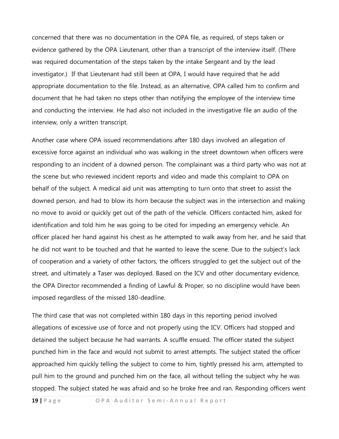concerned that there was no documentation in the OPA file, as required, of steps taken or evidence gathered by the OPA Lieutenant, other than a transcript of the interview itself. (There was required documentation of the steps taken by the intake Sergeant and by the lead investigator.) If that Lieutenant had still been at OPA, I would have required that he add appropriate documentation to the file. Instead, as an alternative, OPA called him to confirm and document that he had taken no steps other than notifying the employee of the interview time and conducting the interview. He had also not included in the investigative file an audio of the interview, only a written transcript.

Another case where OPA issued recommendations after 180 days involved an allegation of excessive force against an individual who was walking in the street downtown when officers were responding to an incident of a downed person. The complainant was a third party who was not at the scene but who reviewed incident reports and video and made this complaint to OPA on behalf of the subject. A medical aid unit was attempting to turn onto that street to assist the downed person, and had to blow its horn because the subject was in the intersection and making no move to avoid or quickly get out of the path of the vehicle. Officers contacted him, asked for identification and told him he was going to be cited for impeding an emergency vehicle. An officer placed her hand against his chest as he attempted to walk away from her, and he said that he did not want to be touched and that he wanted to leave the scene. Due to the subject's lack of cooperation and a variety of other factors, the officers struggled to get the subject out of the street, and ultimately a Taser was deployed. Based on the ICV and other documentary evidence, the OPA Director recommended a finding of Lawful & Proper, so no discipline would have been imposed regardless of the missed 180-deadline.

The third case that was not completed within 180 days in this reporting period involved allegations of excessive use of force and not properly using the ICV. Officers had stopped and detained the subject because he had warrants. A scuffle ensued. The officer stated the subject punched him in the face and would not submit to arrest attempts. The subject stated the officer approached him quickly telling the subject to come to him, tightly pressed his arm, attempted to pull him to the ground and punched him on the face, all without telling the subject why he was stopped. The subject stated he was afraid and so he broke free and ran. Responding officers went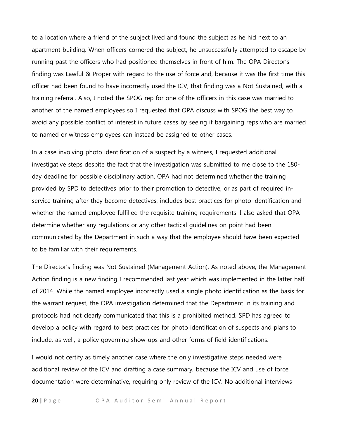to a location where a friend of the subject lived and found the subject as he hid next to an apartment building. When officers cornered the subject, he unsuccessfully attempted to escape by running past the officers who had positioned themselves in front of him. The OPA Director's finding was Lawful & Proper with regard to the use of force and, because it was the first time this officer had been found to have incorrectly used the ICV, that finding was a Not Sustained, with a training referral. Also, I noted the SPOG rep for one of the officers in this case was married to another of the named employees so I requested that OPA discuss with SPOG the best way to avoid any possible conflict of interest in future cases by seeing if bargaining reps who are married to named or witness employees can instead be assigned to other cases.

In a case involving photo identification of a suspect by a witness, I requested additional investigative steps despite the fact that the investigation was submitted to me close to the 180 day deadline for possible disciplinary action. OPA had not determined whether the training provided by SPD to detectives prior to their promotion to detective, or as part of required inservice training after they become detectives, includes best practices for photo identification and whether the named employee fulfilled the requisite training requirements. I also asked that OPA determine whether any regulations or any other tactical guidelines on point had been communicated by the Department in such a way that the employee should have been expected to be familiar with their requirements.

The Director's finding was Not Sustained (Management Action). As noted above, the Management Action finding is a new finding I recommended last year which was implemented in the latter half of 2014. While the named employee incorrectly used a single photo identification as the basis for the warrant request, the OPA investigation determined that the Department in its training and protocols had not clearly communicated that this is a prohibited method. SPD has agreed to develop a policy with regard to best practices for photo identification of suspects and plans to include, as well, a policy governing show-ups and other forms of field identifications.

I would not certify as timely another case where the only investigative steps needed were additional review of the ICV and drafting a case summary, because the ICV and use of force documentation were determinative, requiring only review of the ICV. No additional interviews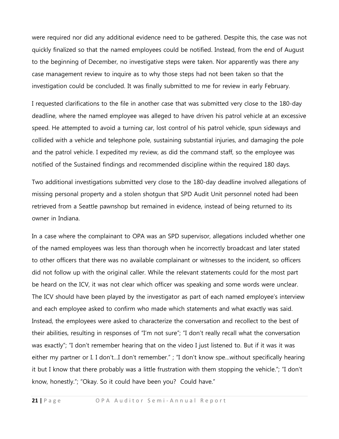were required nor did any additional evidence need to be gathered. Despite this, the case was not quickly finalized so that the named employees could be notified. Instead, from the end of August to the beginning of December, no investigative steps were taken. Nor apparently was there any case management review to inquire as to why those steps had not been taken so that the investigation could be concluded. It was finally submitted to me for review in early February.

I requested clarifications to the file in another case that was submitted very close to the 180-day deadline, where the named employee was alleged to have driven his patrol vehicle at an excessive speed. He attempted to avoid a turning car, lost control of his patrol vehicle, spun sideways and collided with a vehicle and telephone pole, sustaining substantial injuries, and damaging the pole and the patrol vehicle. I expedited my review, as did the command staff, so the employee was notified of the Sustained findings and recommended discipline within the required 180 days.

Two additional investigations submitted very close to the 180-day deadline involved allegations of missing personal property and a stolen shotgun that SPD Audit Unit personnel noted had been retrieved from a Seattle pawnshop but remained in evidence, instead of being returned to its owner in Indiana.

In a case where the complainant to OPA was an SPD supervisor, allegations included whether one of the named employees was less than thorough when he incorrectly broadcast and later stated to other officers that there was no available complainant or witnesses to the incident, so officers did not follow up with the original caller. While the relevant statements could for the most part be heard on the ICV, it was not clear which officer was speaking and some words were unclear. The ICV should have been played by the investigator as part of each named employee's interview and each employee asked to confirm who made which statements and what exactly was said. Instead, the employees were asked to characterize the conversation and recollect to the best of their abilities, resulting in responses of "I'm not sure"; "I don't really recall what the conversation was exactly"; "I don't remember hearing that on the video I just listened to. But if it was it was either my partner or I. I don't...I don't remember." ; "I don't know spe...without specifically hearing it but I know that there probably was a little frustration with them stopping the vehicle."; "I don't know, honestly."; "Okay. So it could have been you? Could have."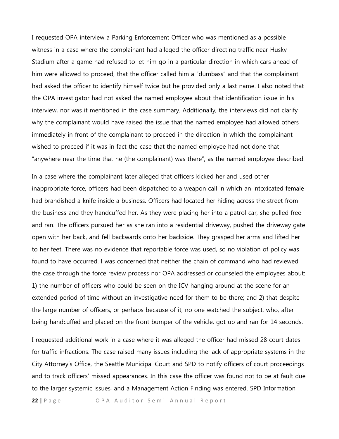I requested OPA interview a Parking Enforcement Officer who was mentioned as a possible witness in a case where the complainant had alleged the officer directing traffic near Husky Stadium after a game had refused to let him go in a particular direction in which cars ahead of him were allowed to proceed, that the officer called him a "dumbass" and that the complainant had asked the officer to identify himself twice but he provided only a last name. I also noted that the OPA investigator had not asked the named employee about that identification issue in his interview, nor was it mentioned in the case summary. Additionally, the interviews did not clarify why the complainant would have raised the issue that the named employee had allowed others immediately in front of the complainant to proceed in the direction in which the complainant wished to proceed if it was in fact the case that the named employee had not done that "anywhere near the time that he (the complainant) was there", as the named employee described.

In a case where the complainant later alleged that officers kicked her and used other inappropriate force, officers had been dispatched to a weapon call in which an intoxicated female had brandished a knife inside a business. Officers had located her hiding across the street from the business and they handcuffed her. As they were placing her into a patrol car, she pulled free and ran. The officers pursued her as she ran into a residential driveway, pushed the driveway gate open with her back, and fell backwards onto her backside. They grasped her arms and lifted her to her feet. There was no evidence that reportable force was used, so no violation of policy was found to have occurred. I was concerned that neither the chain of command who had reviewed the case through the force review process nor OPA addressed or counseled the employees about: 1) the number of officers who could be seen on the ICV hanging around at the scene for an extended period of time without an investigative need for them to be there; and 2) that despite the large number of officers, or perhaps because of it, no one watched the subject, who, after being handcuffed and placed on the front bumper of the vehicle, got up and ran for 14 seconds.

I requested additional work in a case where it was alleged the officer had missed 28 court dates for traffic infractions. The case raised many issues including the lack of appropriate systems in the City Attorney's Office, the Seattle Municipal Court and SPD to notify officers of court proceedings and to track officers' missed appearances. In this case the officer was found not to be at fault due to the larger systemic issues, and a Management Action Finding was entered. SPD Information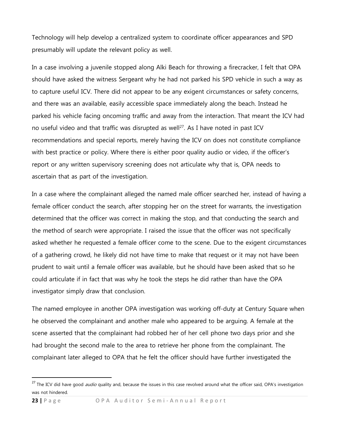Technology will help develop a centralized system to coordinate officer appearances and SPD presumably will update the relevant policy as well.

In a case involving a juvenile stopped along Alki Beach for throwing a firecracker, I felt that OPA should have asked the witness Sergeant why he had not parked his SPD vehicle in such a way as to capture useful ICV. There did not appear to be any exigent circumstances or safety concerns, and there was an available, easily accessible space immediately along the beach. Instead he parked his vehicle facing oncoming traffic and away from the interaction. That meant the ICV had no useful video and that traffic was disrupted as well<sup>27</sup>. As I have noted in past ICV recommendations and special reports, merely having the ICV on does not constitute compliance with best practice or policy. Where there is either poor quality audio or video, if the officer's report or any written supervisory screening does not articulate why that is, OPA needs to ascertain that as part of the investigation.

In a case where the complainant alleged the named male officer searched her, instead of having a female officer conduct the search, after stopping her on the street for warrants, the investigation determined that the officer was correct in making the stop, and that conducting the search and the method of search were appropriate. I raised the issue that the officer was not specifically asked whether he requested a female officer come to the scene. Due to the exigent circumstances of a gathering crowd, he likely did not have time to make that request or it may not have been prudent to wait until a female officer was available, but he should have been asked that so he could articulate if in fact that was why he took the steps he did rather than have the OPA investigator simply draw that conclusion.

The named employee in another OPA investigation was working off-duty at Century Square when he observed the complainant and another male who appeared to be arguing. A female at the scene asserted that the complainant had robbed her of her cell phone two days prior and she had brought the second male to the area to retrieve her phone from the complainant. The complainant later alleged to OPA that he felt the officer should have further investigated the

<sup>&</sup>lt;sup>27</sup> The ICV did have good *audio* quality and, because the issues in this case revolved around what the officer said, OPA's investigation was not hindered.